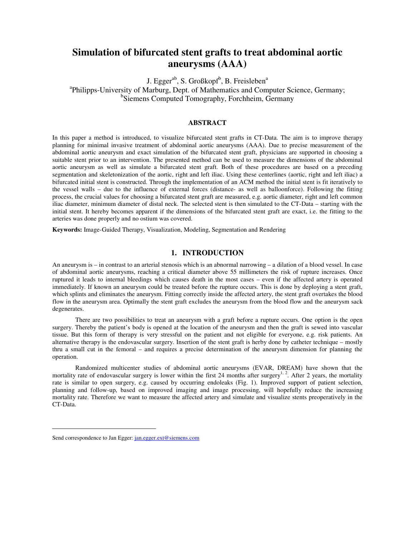# **Simulation of bifurcated stent grafts to treat abdominal aortic aneurysms (AAA)**

J. Egger<sup>ab</sup>, S. Großkopf<sup>b</sup>, B. Freisleben<sup>a</sup> <sup>a</sup>Philipps-University of Marburg, Dept. of Mathematics and Computer Science, Germany; b Siemens Computed Tomography, Forchheim, Germany

# **ABSTRACT**

In this paper a method is introduced, to visualize bifurcated stent grafts in CT-Data. The aim is to improve therapy planning for minimal invasive treatment of abdominal aortic aneurysms (AAA). Due to precise measurement of the abdominal aortic aneurysm and exact simulation of the bifurcated stent graft, physicians are supported in choosing a suitable stent prior to an intervention. The presented method can be used to measure the dimensions of the abdominal aortic aneurysm as well as simulate a bifurcated stent graft. Both of these procedures are based on a preceding segmentation and skeletonization of the aortic, right and left iliac. Using these centerlines (aortic, right and left iliac) a bifurcated initial stent is constructed. Through the implementation of an ACM method the initial stent is fit iteratively to the vessel walls – due to the influence of external forces (distance- as well as balloonforce). Following the fitting process, the crucial values for choosing a bifurcated stent graft are measured, e.g. aortic diameter, right and left common iliac diameter, minimum diameter of distal neck. The selected stent is then simulated to the CT-Data – starting with the initial stent. It hereby becomes apparent if the dimensions of the bifurcated stent graft are exact, i.e. the fitting to the arteries was done properly and no ostium was covered.

**Keywords:** Image-Guided Therapy, Visualization, Modeling, Segmentation and Rendering

## **1. INTRODUCTION**

An aneurysm is – in contrast to an arterial stenosis which is an abnormal narrowing – a dilation of a blood vessel. In case of abdominal aortic aneurysms, reaching a critical diameter above 55 millimeters the risk of rupture increases. Once ruptured it leads to internal bleedings which causes death in the most cases – even if the affected artery is operated immediately. If known an aneurysm could be treated before the rupture occurs. This is done by deploying a stent graft, which splints and eliminates the aneurysm. Fitting correctly inside the affected artery, the stent graft overtakes the blood flow in the aneurysm area. Optimally the stent graft excludes the aneurysm from the blood flow and the aneurysm sack degenerates.

 There are two possibilities to treat an aneurysm with a graft before a rupture occurs. One option is the open surgery. Thereby the patient's body is opened at the location of the aneurysm and then the graft is sewed into vascular tissue. But this form of therapy is very stressful on the patient and not eligible for everyone, e.g. risk patients. An alternative therapy is the endovascular surgery. Insertion of the stent graft is herby done by catheter technique – mostly thru a small cut in the femoral – and requires a precise determination of the aneurysm dimension for planning the operation.

 Randomized multicenter studies of abdominal aortic aneurysms (EVAR, DREAM) have shown that the mortality rate of endovascular surgery is lower within the first 24 months after surgery<sup>1, 2</sup>. After 2 years, the mortality rate is similar to open surgery, e.g. caused by occurring endoleaks (Fig. 1). Improved support of patient selection, planning and follow-up, based on improved imaging and image processing, will hopefully reduce the increasing mortality rate. Therefore we want to measure the affected artery and simulate and visualize stents preoperatively in the CT-Data.

Send correspondence to Jan Egger: jan.egger.ext@siemens.com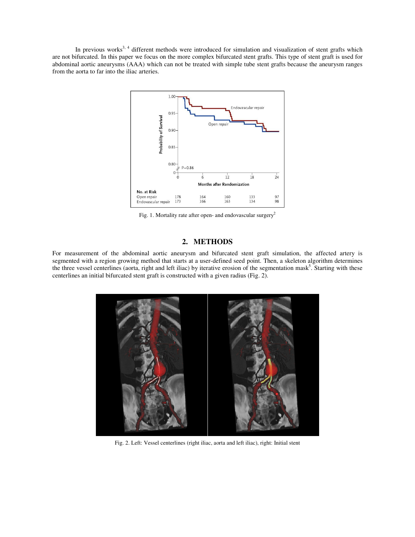In previous works<sup>3, 4</sup> different methods were introduced for simulation and visualization of stent grafts which are not bifurcated. In this paper we focus on the more complex bifurcated stent grafts. This type of stent graft is used for abdominal aortic aneurysms (AAA) which can not be treated with simple tube stent grafts because the aneurysm ranges from the aorta to far into the iliac arteries.



Fig. 1. Mortality rate after open- and endovascular surgery<sup>2</sup>

### **2. METHODS**

For measurement of the abdominal aortic aneurysm and bifurcated stent graft simulation, the affected artery is segmented with a region growing method that starts at a user-defined seed point. Then, a skeleton algorithm determines the three vessel centerlines (aorta, right and left iliac) by iterative erosion of the segmentation mask<sup>5</sup>. Starting with these centerlines an initial bifurcated stent graft is constructed with a given radius (Fig. 2).



Fig. 2. Left: Vessel centerlines (right iliac, aorta and left iliac), right: Initial stent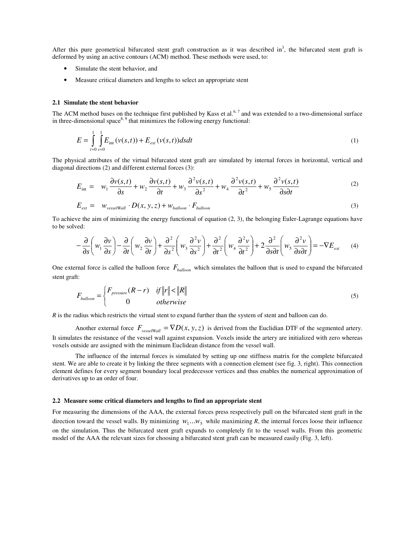After this pure geometrical bifurcated stent graft construction as it was described in<sup>3</sup>, the bifurcated stent graft is deformed by using an active contours (ACM) method. These methods were used, to:

- Simulate the stent behavior, and
- Measure critical diameters and lengths to select an appropriate stent

#### **2.1 Simulate the stent behavior**

The ACM method bases on the technique first published by Kass et al.<sup>6, 7</sup> and was extended to a two-dimensional surface in three-dimensional space $8.9$  that minimizes the following energy functional:

$$
E = \int_{t=0}^{1} \int_{s=0}^{1} E_{int} (v(s,t)) + E_{ext} (v(s,t)) ds dt
$$
 (1)

The physical attributes of the virtual bifurcated stent graft are simulated by internal forces in horizontal, vertical and diagonal directions (2) and different external forces (3):

$$
E_{int} = w_1 \frac{\partial v(s,t)}{\partial s} + w_2 \frac{\partial v(s,t)}{\partial t} + w_3 \frac{\partial^2 v(s,t)}{\partial s^2} + w_4 \frac{\partial^2 v(s,t)}{\partial t^2} + w_5 \frac{\partial^2 v(s,t)}{\partial s \partial t}
$$
  
\n
$$
E_{ext} = w_{vesselWall} \cdot D(x, y, z) + w_{balloon} \cdot F_{balloon}
$$
 (3)

To achieve the aim of minimizing the energy functional of equation (2, 3), the belonging Euler-Lagrange equations have to be solved:

$$
-\frac{\partial}{\partial s}\left(w_1\frac{\partial v}{\partial s}\right) - \frac{\partial}{\partial t}\left(w_2\frac{\partial v}{\partial t}\right) + \frac{\partial^2}{\partial s^2}\left(w_3\frac{\partial^2 v}{\partial s^2}\right) + \frac{\partial^2}{\partial t^2}\left(w_4\frac{\partial^2 v}{\partial t^2}\right) + 2\frac{\partial^2}{\partial s\partial t}\left(w_5\frac{\partial^2 v}{\partial s\partial t}\right) = -\nabla E_{ext}
$$
 (4)

One external force is called the balloon force *Fballoon* which simulates the balloon that is used to expand the bifurcated stent graft:

$$
F_{\text{balloon}} = \begin{cases} F_{\text{pressure}}(R - r) & \text{if } \|r\| < \|R\| \\ 0 & \text{otherwise} \end{cases} \tag{5}
$$

*R* is the radius which restricts the virtual stent to expand further than the system of stent and balloon can do.

Another external force  $F_{\text{vesselWall}} = \nabla D(x, y, z)$  is derived from the Euclidian DTF of the segmented artery. It simulates the resistance of the vessel wall against expansion. Voxels inside the artery are initialized with zero whereas voxels outside are assigned with the minimum Euclidean distance from the vessel wall.

 The influence of the internal forces is simulated by setting up one stiffness matrix for the complete bifurcated stent. We are able to create it by linking the three segments with a connection element (see fig. 3, right). This connection element defines for every segment boundary local predecessor vertices and thus enables the numerical approximation of derivatives up to an order of four.

#### **2.2 Measure some critical diameters and lengths to find an appropriate stent**

For measuring the dimensions of the AAA, the external forces press respectively pull on the bifurcated stent graft in the direction toward the vessel walls. By minimizing  $w_1...w_5$  while maximizing *R*, the internal forces loose their influence on the simulation. Thus the bifurcated stent graft expands to completely fit to the vessel walls. From this geometric model of the AAA the relevant sizes for choosing a bifurcated stent graft can be measured easily (Fig. 3, left).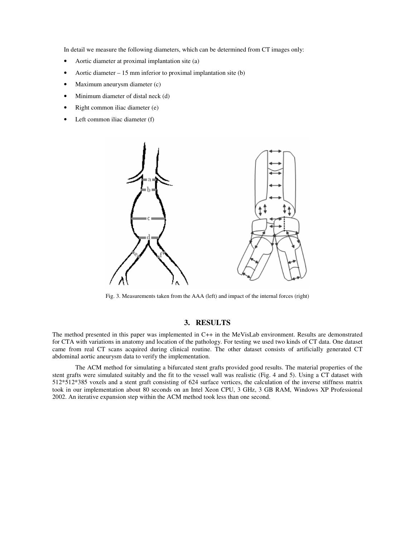In detail we measure the following diameters, which can be determined from CT images only:

- Aortic diameter at proximal implantation site (a)
- Aortic diameter  $-15$  mm inferior to proximal implantation site (b)
- Maximum aneurysm diameter (c)
- Minimum diameter of distal neck (d)
- Right common iliac diameter (e)
- Left common iliac diameter (f)



Fig. 3. Measurements taken from the AAA (left) and impact of the internal forces (right)

### **3. RESULTS**

The method presented in this paper was implemented in C++ in the MeVisLab environment. Results are demonstrated for CTA with variations in anatomy and location of the pathology. For testing we used two kinds of CT data. One dataset came from real CT scans acquired during clinical routine. The other dataset consists of artificially generated CT abdominal aortic aneurysm data to verify the implementation.

 The ACM method for simulating a bifurcated stent grafts provided good results. The material properties of the stent grafts were simulated suitably and the fit to the vessel wall was realistic (Fig. 4 and 5). Using a CT dataset with 512\*512\*385 voxels and a stent graft consisting of 624 surface vertices, the calculation of the inverse stiffness matrix took in our implementation about 80 seconds on an Intel Xeon CPU, 3 GHz, 3 GB RAM, Windows XP Professional 2002. An iterative expansion step within the ACM method took less than one second.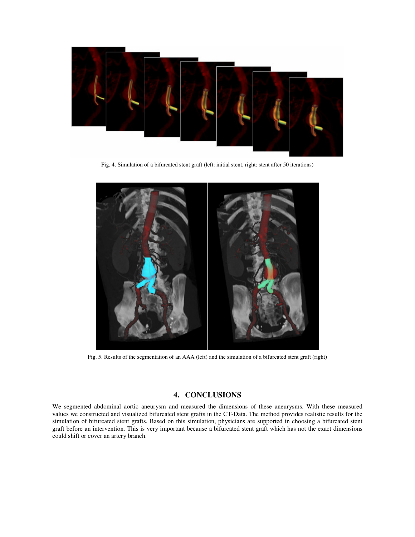

Fig. 4. Simulation of a bifurcated stent graft (left: initial stent, right: stent after 50 iterations)



Fig. 5. Results of the segmentation of an AAA (left) and the simulation of a bifurcated stent graft (right)

# **4. CONCLUSIONS**

We segmented abdominal aortic aneurysm and measured the dimensions of these aneurysms. With these measured values we constructed and visualized bifurcated stent grafts in the CT-Data. The method provides realistic results for the simulation of bifurcated stent grafts. Based on this simulation, physicians are supported in choosing a bifurcated stent graft before an intervention. This is very important because a bifurcated stent graft which has not the exact dimensions could shift or cover an artery branch.